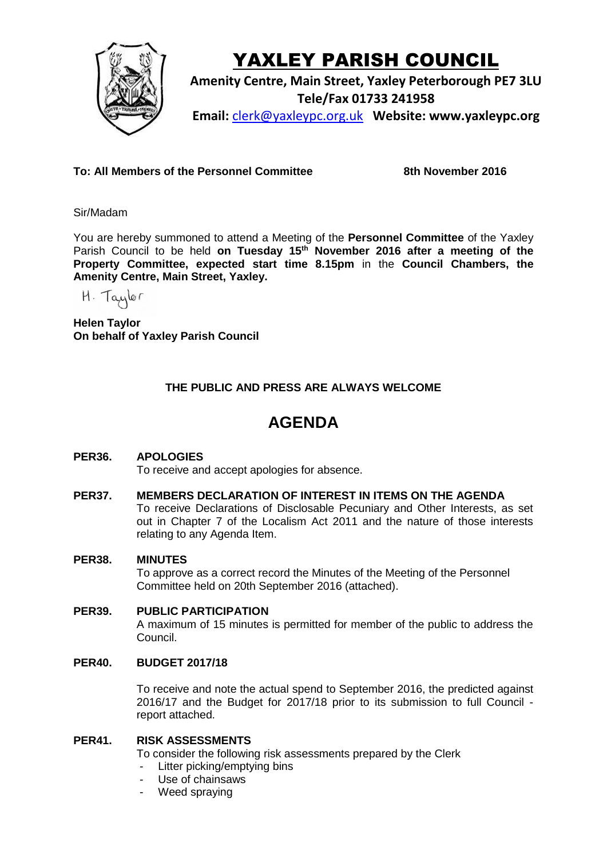

# YAXLEY PARISH COUNCIL

**Amenity Centre, Main Street, Yaxley Peterborough PE7 3LU Tele/Fax 01733 241958 Email:** [clerk@yaxleypc.org.uk](mailto:clerk@yaxleypc.org.uk) **Website: www.yaxleypc.org**

**To: All Members of the Personnel Committee 8th November 2016**

Sir/Madam

You are hereby summoned to attend a Meeting of the **Personnel Committee** of the Yaxley Parish Council to be held **on Tuesday 15th November 2016 after a meeting of the Property Committee, expected start time 8.15pm** in the **Council Chambers, the Amenity Centre, Main Street, Yaxley.**

H. Taylor

**Helen Taylor On behalf of Yaxley Parish Council**

## **THE PUBLIC AND PRESS ARE ALWAYS WELCOME**

# **AGENDA**

### **PER36. APOLOGIES**

To receive and accept apologies for absence.

#### **PER37. MEMBERS DECLARATION OF INTEREST IN ITEMS ON THE AGENDA**

To receive Declarations of Disclosable Pecuniary and Other Interests, as set out in Chapter 7 of the Localism Act 2011 and the nature of those interests relating to any Agenda Item.

#### **PER38. MINUTES**

To approve as a correct record the Minutes of the Meeting of the Personnel Committee held on 20th September 2016 (attached).

#### **PER39. PUBLIC PARTICIPATION** A maximum of 15 minutes is permitted for member of the public to address the Council.

#### **PER40. BUDGET 2017/18**

To receive and note the actual spend to September 2016, the predicted against 2016/17 and the Budget for 2017/18 prior to its submission to full Council report attached.

#### **PER41. RISK ASSESSMENTS**

To consider the following risk assessments prepared by the Clerk

- Litter picking/emptying bins
- Use of chainsaws
- Weed spraying